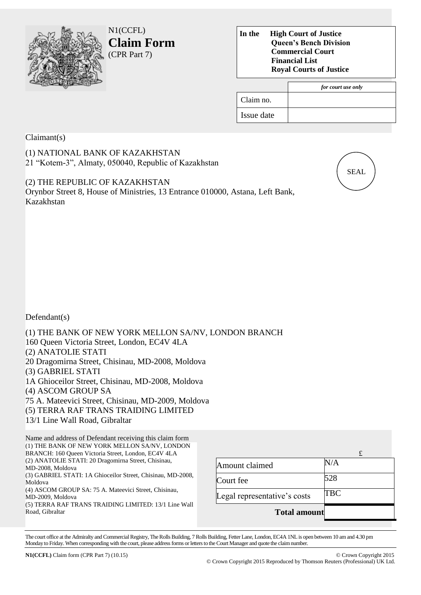

N1(CCFL) **Claim Form**  (CPR Part 7)

**In the High Court of Justice Queen's Bench Division Commercial Court Financial List Royal Courts of Justice**

|            | for court use only |
|------------|--------------------|
| Claim no.  |                    |
| Issue date |                    |

Claimant(s)

(1) NATIONAL BANK OF KAZAKHSTAN 21 "Kotem-3", Almaty, 050040, Republic of Kazakhstan

(2) THE REPUBLIC OF KAZAKHSTAN Orynbor Street 8, House of Ministries, 13 Entrance 010000, Astana, Left Bank, Kazakhstan



Defendant(s)

(1) THE BANK OF NEW YORK MELLON SA/NV, LONDON BRANCH 160 Queen Victoria Street, London, EC4V 4LA (2) ANATOLIE STATI 20 Dragomirna Street, Chisinau, MD-2008, Moldova (3) GABRIEL STATI 1A Ghioceilor Street, Chisinau, MD-2008, Moldova (4) ASCOM GROUP SA 75 A. Mateevici Street, Chisinau, MD-2009, Moldova (5) TERRA RAF TRANS TRAIDING LIMITED 13/1 Line Wall Road, Gibraltar

Name and address of Defendant receiving this claim form (1) THE BANK OF NEW YORK MELLON SA/NV, LONDON BRANCH: 160 Queen Victoria Street, London, EC4V 4LA (2) ANATOLIE STATI: 20 Dragomirna Street, Chisinau, MD-2008, Moldova (3) GABRIEL STATI: 1A Ghioceilor Street, Chisinau, MD-2008, Moldova (4) ASCOM GROUP SA: 75 A. Mateevici Street, Chisinau, MD-2009, Moldova (5) TERRA RAF TRANS TRAIDING LIMITED: 13/1 Line Wall Road, Gibraltar

|                              | £          |
|------------------------------|------------|
| Amount claimed               | $\rm N/A$  |
| Court fee                    | 528        |
| Legal representative's costs | <b>TBC</b> |
| <b>Total amount</b>          |            |

The court office at the Admiralty and Commercial Registry, The Rolls Building, 7 Rolls Building, Fetter Lane, London, EC4A 1NL is open between 10 am and 4.30 pm Monday to Friday. When corresponding with the court, please address forms or letters to the Court Manager and quote the claimnumber.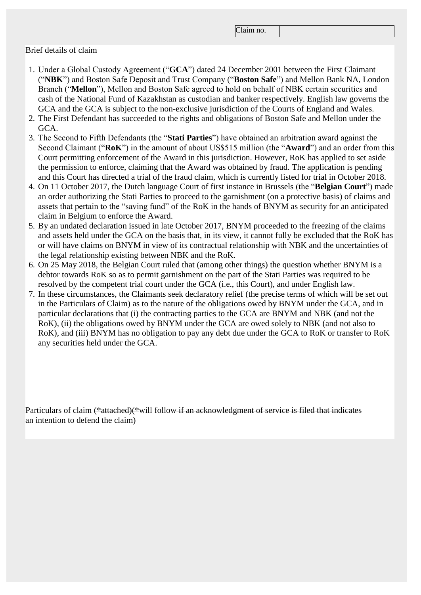Claim no.

## Brief details of claim

- 1. Under a Global Custody Agreement ("**GCA**") dated 24 December 2001 between the First Claimant ("**NBK**") and Boston Safe Deposit and Trust Company ("**Boston Safe**") and Mellon Bank NA, London Branch ("**Mellon**"), Mellon and Boston Safe agreed to hold on behalf of NBK certain securities and cash of the National Fund of Kazakhstan as custodian and banker respectively. English law governs the GCA and the GCA is subject to the non-exclusive jurisdiction of the Courts of England and Wales.
- 2. The First Defendant has succeeded to the rights and obligations of Boston Safe and Mellon under the GCA.
- 3. The Second to Fifth Defendants (the "**Stati Parties**") have obtained an arbitration award against the Second Claimant ("**RoK**") in the amount of about US\$515 million (the "**Award**") and an order from this Court permitting enforcement of the Award in this jurisdiction. However, RoK has applied to set aside the permission to enforce, claiming that the Award was obtained by fraud. The application is pending and this Court has directed a trial of the fraud claim, which is currently listed for trial in October 2018.
- 4. On 11 October 2017, the Dutch language Court of first instance in Brussels (the "**Belgian Court**") made an order authorizing the Stati Parties to proceed to the garnishment (on a protective basis) of claims and assets that pertain to the "saving fund" of the RoK in the hands of BNYM as security for an anticipated claim in Belgium to enforce the Award.
- 5. By an undated declaration issued in late October 2017, BNYM proceeded to the freezing of the claims and assets held under the GCA on the basis that, in its view, it cannot fully be excluded that the RoK has or will have claims on BNYM in view of its contractual relationship with NBK and the uncertainties of the legal relationship existing between NBK and the RoK.
- 6. On 25 May 2018, the Belgian Court ruled that (among other things) the question whether BNYM is a debtor towards RoK so as to permit garnishment on the part of the Stati Parties was required to be resolved by the competent trial court under the GCA (i.e., this Court), and under English law.
- 7. In these circumstances, the Claimants seek declaratory relief (the precise terms of which will be set out in the Particulars of Claim) as to the nature of the obligations owed by BNYM under the GCA, and in particular declarations that (i) the contracting parties to the GCA are BNYM and NBK (and not the RoK), (ii) the obligations owed by BNYM under the GCA are owed solely to NBK (and not also to RoK), and (iii) BNYM has no obligation to pay any debt due under the GCA to RoK or transfer to RoK any securities held under the GCA.

Particulars of claim (\*attached)(\*will follow if an acknowledgment of service is filed that indicates an intention to defend the claim)